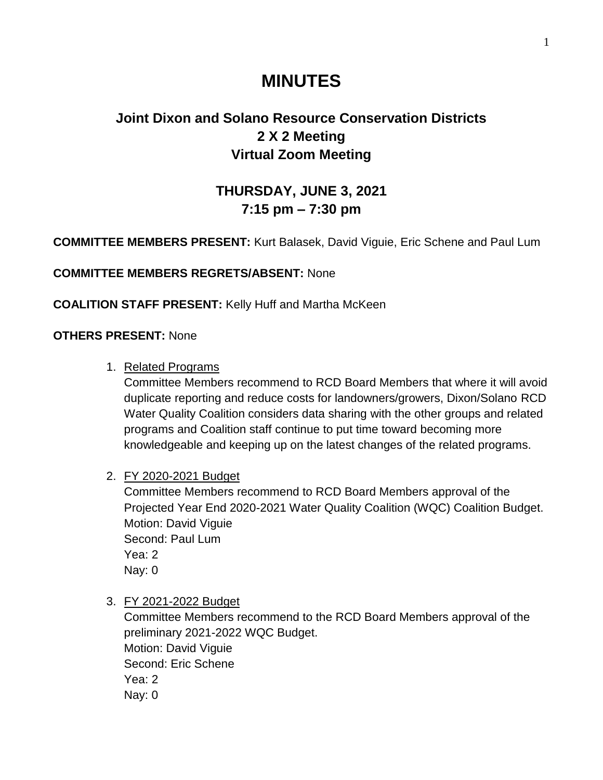# **MINUTES**

## **Joint Dixon and Solano Resource Conservation Districts 2 X 2 Meeting Virtual Zoom Meeting**

## **THURSDAY, JUNE 3, 2021 7:15 pm – 7:30 pm**

**COMMITTEE MEMBERS PRESENT:** Kurt Balasek, David Viguie, Eric Schene and Paul Lum

**COMMITTEE MEMBERS REGRETS/ABSENT:** None

**COALITION STAFF PRESENT:** Kelly Huff and Martha McKeen

**OTHERS PRESENT:** None

1. Related Programs

Committee Members recommend to RCD Board Members that where it will avoid duplicate reporting and reduce costs for landowners/growers, Dixon/Solano RCD Water Quality Coalition considers data sharing with the other groups and related programs and Coalition staff continue to put time toward becoming more knowledgeable and keeping up on the latest changes of the related programs.

#### 2. FY 2020-2021 Budget

Committee Members recommend to RCD Board Members approval of the Projected Year End 2020-2021 Water Quality Coalition (WQC) Coalition Budget. Motion: David Viguie Second: Paul Lum Yea: 2 Nay: 0

3. FY 2021-2022 Budget

Committee Members recommend to the RCD Board Members approval of the preliminary 2021-2022 WQC Budget. Motion: David Viguie Second: Eric Schene Yea: 2 Nay: 0